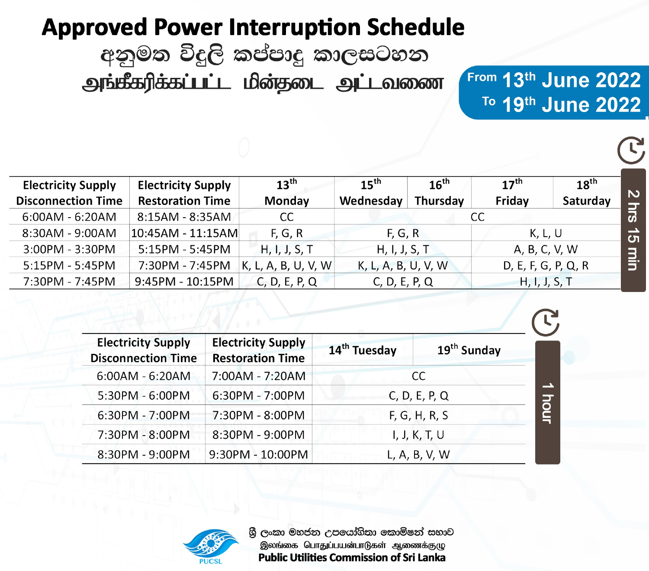# **Approved Power Interruption Schedule**

අනුමත විදුලි කප්පාදු කාලසටහන

அங்கீகரிக்கப்பட்ட மின்தடை அட்டவணை

From 13th June 2022 To 19th June 2022

| <b>Electricity Supply</b> | <b>Electricity Supply</b> | 13 <sup>th</sup>    | $15^{\text{th}}$    | 16 <sup>th</sup> | $17^{th}$           | $18^{th}$ |                    |
|---------------------------|---------------------------|---------------------|---------------------|------------------|---------------------|-----------|--------------------|
| <b>Disconnection Time</b> | <b>Restoration Time</b>   | Monday              | Wednesday           | Thursday         | Friday              | Saturday  | $\mathbf N$        |
| 6:00AM - 6:20AM           | 8:15AM - 8:35AM           | <sub>CC</sub>       |                     |                  | CC                  |           |                    |
| $8:30AM - 9:00AM$         | $ 10:45$ AM - $11:15$ AM  | F, G, R             | F, G, R             |                  | K, L, U             |           | က                  |
| 3:00PM - 3:30PM           | $5:15PM - 5:45PM$         | H, I, J, S, T       | H, I, J, S, T       |                  | A, B, C, V, W       |           |                    |
| $5:15PM - 5:45PM$         | 7:30PM - 7:45PM           | K, L, A, B, U, V, W | K, L, A, B, U, V, W |                  | D, E, F, G, P, Q, R |           | $\overline{\Xi}$ : |
| 7:30PM - 7:45PM           | 9:45PM - 10:15PM          | C, D, E, P, Q       | C, D, E, P, Q       |                  | H, I, J, S, T       |           |                    |

| <b>Electricity Supply</b><br><b>Disconnection Time</b> | <b>Electricity Supply</b><br><b>Restoration Time</b> | 14 <sup>th</sup> Tuesday | 19 <sup>th</sup> Sunday |
|--------------------------------------------------------|------------------------------------------------------|--------------------------|-------------------------|
| $6:00AM - 6:20AM$                                      | 7:00AM - 7:20AM                                      |                          | CC                      |
| 5:30PM - 6:00PM                                        | 6:30PM - 7:00PM                                      | C, D, E, P, Q            |                         |
| 6:30PM - 7:00PM                                        | 7:30PM - 8:00PM                                      | F, G, H, R, S            |                         |
| 7:30PM - 8:00PM                                        | 8:30PM - 9:00PM                                      |                          | I, J, K, T, U           |
| 8:30PM - 9:00PM                                        | 9:30PM - 10:00PM                                     | L, A, B, V, W            |                         |



ශී ලංකා මහජන උපයෝගිතා කොමිෂන් සභාව இலங்கை பொதுப்பயன்பாடுகள் ஆணைக்குழு **Public Utilities Commission of Sri Lanka**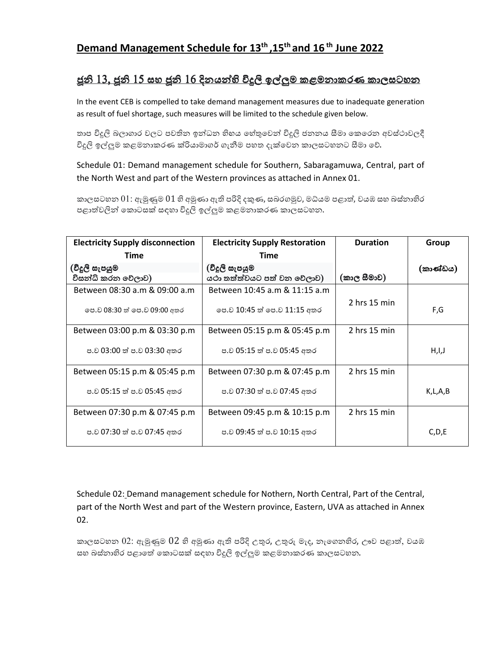# **Demand Management Schedule for 13th ,15th and 16 th June 2022**

#### <u>ජූනි 13, ජූනි 15 සහ ජූනි 16 දිනයන්හි විදුලි ඉල්ලුම කළමනාකරණ කාලසටහන</u>

In the event CEB is compelled to take demand management measures due to inadequate generation as result of fuel shortage, such measures will be limited to the schedule given below.

තාප විදුලි බලාගාර වලට පවතින ඉන්ධන හිහය හේතුවෙන් විදුලි ජනනය සීමා කෙරෙන අවස්ථාවලදී විදුලි ඉල්ලුම කළමනාකරණ ක්රියාමාගර් ගැනීම පහත දැක්වෙන කාලසටහනට සීමා වේ.

Schedule 01: Demand management schedule for Southern, Sabaragamuwa, Central, part of the North West and part of the Western provinces as attached in Annex 01.

කාලසටහන  $01$ : ඇමුණුම  $01$  හි අමුණා ඇති පරිදි දකුණ, සබරගමුව, මධ්යම පළාත්, වයඹ සහ බස්නාහිර පළාත්වලින් කොටසක් සඳහා විදුලි ඉල්ලුම කළමනාකරණ කාලසටහන.

| <b>Electricity Supply disconnection</b> | <b>Electricity Supply Restoration</b> | <b>Duration</b> | Group    |
|-----------------------------------------|---------------------------------------|-----------------|----------|
| Time                                    | Time                                  |                 |          |
| (විදූලි සැපයුම                          | (විදූලි සැපයුම                        |                 | (කාණ්ඩය) |
| විසන්ධි කරන වෙලාව)                      | යථා තත්ත්වයට පත් වන වෙලාව)            | (කාල සීමාව)     |          |
| Between 08:30 a.m & 09:00 a.m           | Between 10:45 a.m & 11:15 a.m         |                 |          |
| ලප.ව 08:30 ත් පෙ.ව 09:00 අතර            | පෙ.ව 10:45 ත් පෙ.ව 11:15 අතර          | $2$ hrs 15 min  | F,G      |
| Between 03:00 p.m & 03:30 p.m           | Between 05:15 p.m & 05:45 p.m         | $2$ hrs 15 min  |          |
| ප.ව 03:00 ත් ප.ව 03:30 අතර              | ප.ව 05:15 ත් ප.ව 05:45 අතර            |                 | H,I,J    |
| Between 05:15 p.m & 05:45 p.m           | Between 07:30 p.m & 07:45 p.m         | 2 hrs 15 min    |          |
| ප.ව 05:15 ත් ප.ව 05:45 අතර              | ප.ව 07:30 ත් ප.ව 07:45 අතර            |                 | K,L,A,B  |
| Between 07:30 p.m & 07:45 p.m           | Between 09:45 p.m & 10:15 p.m         | 2 hrs 15 min    |          |
| ප.ව 07:30 ත් ප.ව 07:45 අතර              | ප.ව 09:45 ත් ප.ව 10:15 අතර            |                 | C,D,E    |

Schedule 02: Demand management schedule for Nothern, North Central, Part of the Central, part of the North West and part of the Western province, Eastern, UVA as attached in Annex 02.

කාලසටහන  $02$ : ඇමුණුම  $02$  හි අමුණා ඇති පරිදි උතුර, උතුරු මැද, නැගෙනහිර, ඌව පළාත්, වයඹ සහ බස්නාහිර පළාතේ කොටසක් සඳහා විදුලි ඉල්ලුම කළමනාකරණ කාලසටහන.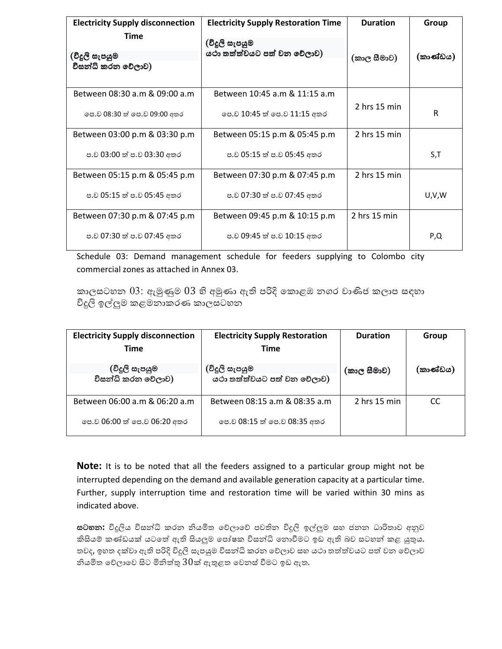| <b>Electricity Supply disconnection</b><br>Time | <b>Electricity Supply Restoration Time</b> | <b>Duration</b> | Group    |
|-------------------------------------------------|--------------------------------------------|-----------------|----------|
|                                                 | (විදූලි සැපයුම                             |                 |          |
| (විදූලි සැපයුම                                  | යථා තත්ත්වයට පත් වන වෙලාව)                 | (කාල සීමාව)     | (කාණ්ඩය) |
| විසන්ධි කරන වේලාව)                              |                                            |                 |          |
| Between 08:30 a.m & 09:00 a.m                   | Between 10:45 a.m & 11:15 a.m              |                 |          |
| ලප.ව 08:30 ත් පෙ.ව 09:00 අතර                    | පෙ.ව 10:45 ත් පෙ.ව 11:15 අතර               | $2$ hrs 15 min  | R        |
| Between 03:00 p.m & 03:30 p.m                   | Between 05:15 p.m & 05:45 p.m              | 2 hrs 15 min    |          |
| ප.ව 03:00 ත් ප.ව 03:30 අතර                      | ප.ව 05:15 ත් ප.ව 05:45 අතර                 |                 | S,T      |
| Between 05:15 p.m & 05:45 p.m                   | Between 07:30 p.m & 07:45 p.m              | $2$ hrs 15 min  |          |
| ප.ව 05:15 ත් ප.ව 05:45 අතර                      | ප.ව 07:30 ත් ප.ව 07:45 අතර                 |                 | U,V,W    |
| Between 07:30 p.m & 07:45 p.m                   | Between 09:45 p.m & 10:15 p.m              | $2$ hrs 15 min  |          |
| ප.ව 07:30 ත් ප.ව 07:45 අතර                      | ප.ව 09:45 ත් ප.ව 10:15 අතර                 |                 | P,Q      |

Schedule 03: Demand management schedule for feeders supplying to Colombo city commercial zones as attached in Annex 03.

කාලසටහන 03: ඇමුණුම 03 හි අමුණා ඇති පරිදි කොළඹ නගර වාණිජ කලාප සඳහා විදුලි ඉල්ලුම කළමනාකරණ කාලසටහන

| <b>Electricity Supply disconnection</b> | <b>Electricity Supply Restoration</b> | <b>Duration</b> | Group    |
|-----------------------------------------|---------------------------------------|-----------------|----------|
| <b>Time</b>                             | <b>Time</b>                           |                 |          |
| (විදූලි සැපයුම                          | (විදූලි සැපයුම                        | (කාල සීමාව)     | (කාණ්ඩය) |
| විසන්ධි කරන වෙලාව)                      | යථා තත්ත්වයට පත් වන වෙලාව)            |                 |          |
| Between 06:00 a.m & 06:20 a.m           | Between 08:15 a.m & 08:35 a.m         | $2$ hrs 15 min  | CC.      |
| පෙ.ව 06:00 ත් පෙ.ව 06:20 අතර            | පෙ.ව 08:15 ත් පෙ.ව 08:35 අතර          |                 |          |

**Note:** It is to be noted that all the feeders assigned to a particular group might not be interrupted depending on the demand and available generation capacity at a particular time. Further, supply interruption time and restoration time will be varied within 30 mins as indicated above.

**සටහන:** විදුලිය විසන්ධි කරන නියමිත වෙිලාවෙි පවතින විදුලි ඉල්ලුම සහ ජනන ධාරිතාව අනුව කිසියම් කණ්ඩයක් යටතේ ඇති සියලුම පෝෂක විසන්ධි නොවීමට ඉඩ ඇති බව සටහන් කළ යුතුය. තවද, ඉහත දක්වා ඇති පරිදි විදූලි සැපයුම විසන්ධි කරන වේලාව සහ යථා තත්ත්වයට පත් වන වේලාව නියමිත වේලාවෙ සිට මිනිත්තු  $30$ ක් ඇතුළත වෙනස් වීමට ඉඩ ඇත.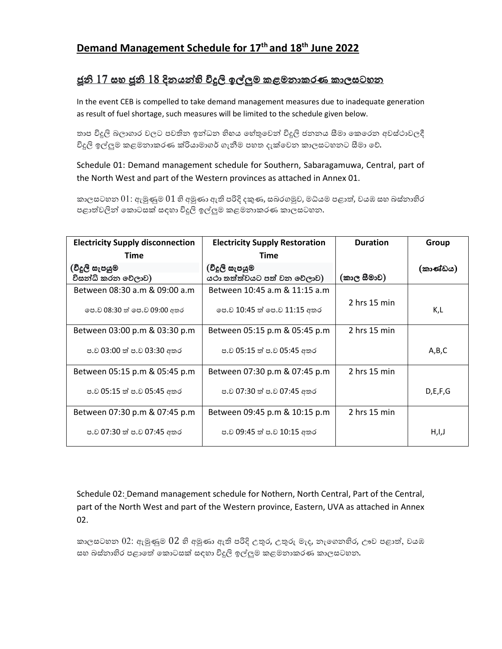# **Demand Management Schedule for 17th and 18th June 2022**

### <u>ජූනි 17 සහ ජූනි 18 දිනයන්හි විදුලි ඉල්ලුම කළමනාකරණ කාලසටහන</u>

In the event CEB is compelled to take demand management measures due to inadequate generation as result of fuel shortage, such measures will be limited to the schedule given below.

තාප විදුලි බලාගාර වලට පවතින ඉන්ධන හිහය හේතුවෙන් විදුලි ජනනය සීමා කෙරෙන අවස්ථාවලදී විදුලි ඉල්ලුම කළමනාකරණ ක්රියාමාගර් ගැනීම පහත දැක්වෙන කාලසටහනට සීමා වේ.

Schedule 01: Demand management schedule for Southern, Sabaragamuwa, Central, part of the North West and part of the Western provinces as attached in Annex 01.

කාලසටහන  $01$ : ඇමුණුම  $01$  හි අමුණා ඇති පරිදි දකුණ, සබරගමුව, මධ්යම පළාත්, වයඹ සහ බස්නාහිර පළාත්වලින් කොටසක් සඳහා විදුලි ඉල්ලුම කළමනාකරණ කාලසටහන.

| <b>Electricity Supply disconnection</b> | <b>Electricity Supply Restoration</b> | <b>Duration</b> | Group      |
|-----------------------------------------|---------------------------------------|-----------------|------------|
| Time                                    | Time                                  |                 |            |
| (විදූලි සැපයුම                          | (විදූලි සැපයුම                        |                 | (කාණ්ඩය)   |
| විසන්ධි කරන වෙලාව)                      | යථා තත්ත්වයට පත් වන වෙලාව)            | (කාල සීමාව)     |            |
| Between 08:30 a.m & 09:00 a.m           | Between 10:45 a.m & 11:15 a.m         |                 |            |
| ලප.ව 08:30 ත් පෙ.ව 09:00 අතර            | පෙ.ව 10:45 ත් පෙ.ව 11:15 අතර          | $2$ hrs 15 min  | K,L        |
| Between 03:00 p.m & 03:30 p.m           | Between 05:15 p.m & 05:45 p.m         | $2$ hrs 15 min  |            |
| ප.ව 03:00 ත් ප.ව 03:30 අතර              | ප.ව 05:15 ත් ප.ව 05:45 අතර            |                 | A,B,C      |
| Between 05:15 p.m & 05:45 p.m           | Between 07:30 p.m & 07:45 p.m         | 2 hrs 15 min    |            |
| ප.ව 05:15 ත් ප.ව 05:45 අතර              | ප.ව 07:30 ත් ප.ව 07:45 අතර            |                 | D, E, F, G |
| Between 07:30 p.m & 07:45 p.m           | Between 09:45 p.m & 10:15 p.m         | 2 hrs 15 min    |            |
| ප.ව 07:30 ත් ප.ව 07:45 අතර              | ප.ව 09:45 ත් ප.ව 10:15 අතර            |                 | H,I,J      |

Schedule 02: Demand management schedule for Nothern, North Central, Part of the Central, part of the North West and part of the Western province, Eastern, UVA as attached in Annex 02.

කාලසටහන  $02$ : ඇමුණුම  $02$  හි අමුණා ඇති පරිදි උතුර, උතුරු මැද, නැගෙනහිර, ඌව පළාත්, වයඹ සහ බස්නාහිර පළාතේ කොටසක් සඳහා විදුලි ඉල්ලුම කළමනාකරණ කාලසටහන.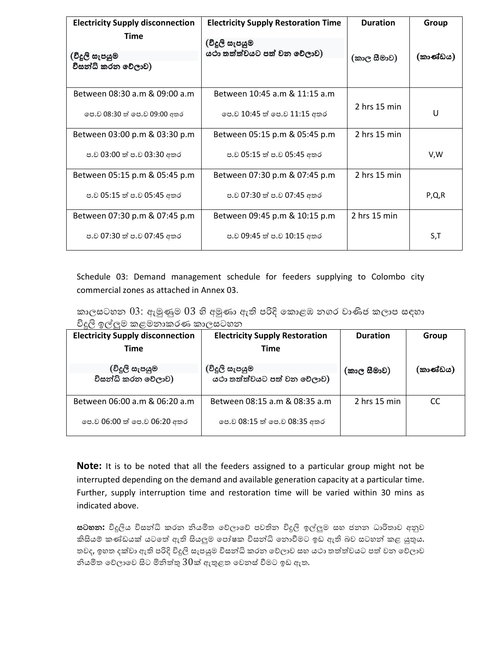| <b>Electricity Supply disconnection</b><br>Time | <b>Electricity Supply Restoration Time</b> | <b>Duration</b> | Group<br>(කාණ්ඩය) |
|-------------------------------------------------|--------------------------------------------|-----------------|-------------------|
|                                                 | (විදූලි සැපයුම                             |                 |                   |
| (විදූලි සැපයුම                                  | යථා තත්ත්වයට පත් වන වෙලාව)                 | (කාල සීමාව)     |                   |
| විසන්ධි කරන වෙලාව)                              |                                            |                 |                   |
| Between 08:30 a.m & 09:00 a.m                   | Between 10:45 a.m & 11:15 a.m              |                 |                   |
| ලප.ව 08:30 ත් ලප.ව 09:00 අතර                    | පෙ.ව 10:45 ත් පෙ.ව 11:15 අතර               | $2$ hrs 15 min  | U                 |
| Between 03:00 p.m & 03:30 p.m                   | Between 05:15 p.m & 05:45 p.m              | $2$ hrs 15 min  |                   |
| ප.ව 03:00 ත් ප.ව 03:30 අතර                      | ප.ව 05:15 ත් ප.ව 05:45 අතර                 |                 | V,W               |
| Between 05:15 p.m & 05:45 p.m                   | Between 07:30 p.m & 07:45 p.m              | $2$ hrs 15 min  |                   |
| ප.ව 05:15 ත් ප.ව 05:45 අතර                      | ප.ව 07:30 ත් ප.ව 07:45 අතර                 |                 | P, Q, R           |
| Between 07:30 p.m & 07:45 p.m                   | Between 09:45 p.m & 10:15 p.m              | $2$ hrs 15 min  |                   |
| ප.ව 07:30 ත් ප.ව 07:45 අතර                      | ප.ව 09:45 ත් ප.ව 10:15 අතර                 |                 | S,T               |

Schedule 03: Demand management schedule for feeders supplying to Colombo city commercial zones as attached in Annex 03.

කාලසටහන 03: ඇමුණුම 03 හි අමුණා ඇති පරිදි කොළඹ නගර වාණිජ කලාප සඳහා විදුලි ඉල්ලම කළමනාකරණ කාලසටහන

| <b>Electricity Supply disconnection</b> | <b>Electricity Supply Restoration</b> | <b>Duration</b> | Group    |
|-----------------------------------------|---------------------------------------|-----------------|----------|
| Time                                    | Time                                  |                 |          |
| (විදූලි සැපයුම                          | (විදූලි සැපයුම                        | (කාල සීමාව)     | (කාණ්ඩය) |
| විසන්ධි කරන වෙලාව)                      | යථා තත්ත්වයට පත් වන වෙලාව)            |                 |          |
| Between 06:00 a.m & 06:20 a.m           | Between 08:15 a.m & 08:35 a.m         | $2$ hrs 15 min  | CC       |
| පෙ.ව 06:00 ත් පෙ.ව 06:20 අතර            | පෙ.ව 08:15 ත් පෙ.ව 08:35 අතර          |                 |          |

**Note:** It is to be noted that all the feeders assigned to a particular group might not be interrupted depending on the demand and available generation capacity at a particular time. Further, supply interruption time and restoration time will be varied within 30 mins as indicated above.

**සටහන:** විදුලිය විසන්ධි කරන නියමිත වෙිලාවෙි පවතින විදුලි ඉල්ලුම සහ ජනන ධාරිතාව අනුව කිසියම් කණ්ඩයක් යටතේ ඇති සියලුම පෝෂක විසන්ධි නොවීමට ඉඩ ඇති බව සටහන් කළ යුතුය. තවද, ඉහත දක්වා ඇති පරිදි විදූලි සැපයුම විසන්ධි කරන වේලාව සහ යථා තත්ත්වයට පත් වන වේලාව නියමිත වේලාවෙ සිට මිනිත්තු  $30$ ක් ඇතුළත වෙනස් වීමට ඉඩ ඇත.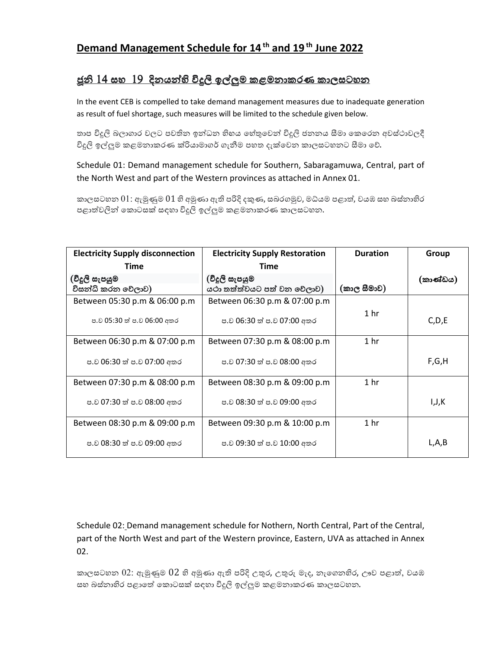## **Demand Management Schedule for 14 th and 19 th June 2022**

## <u>ජූනි 14 සහ 19 දිනයන්හි විදුලි ඉල්ලුම කළමනාකරණ කාලසටහන</u>

In the event CEB is compelled to take demand management measures due to inadequate generation as result of fuel shortage, such measures will be limited to the schedule given below.

තාප විදුලි බලාගාර වලට පවතින ඉන්ධන හිහය හේතුවෙන් විදුලි ජනනය සීමා කෙරෙන අවස්ථාවලදී විදුලි ඉල්ලුම කළමනාකරණ ක්රියාමාගර් ගැනීම පහත දැක්වෙන කාලසටහනට සීමා වේ.

Schedule 01: Demand management schedule for Southern, Sabaragamuwa, Central, part of the North West and part of the Western provinces as attached in Annex 01.

කාලසටහන  $01$ : ඇමුණුම  $01$  හි අමුණා ඇති පරිදි දකුණ, සබරගමුව, මධ්යම පළාත්, වයඹ සහ බස්නාහිර පළාත්වලින් කොටසක් සඳහා විදුලි ඉල්ලුම කළමනාකරණ කාලසටහන.

| <b>Electricity Supply disconnection</b> | <b>Electricity Supply Restoration</b> | <b>Duration</b> | Group    |
|-----------------------------------------|---------------------------------------|-----------------|----------|
| Time                                    | Time                                  |                 |          |
| (විදූලි සැපයුම                          | (විදූලි සැපයුම                        |                 | (කාණ්ඩය) |
| විසන්ධි කරන වෙලාව)                      | යථා තත්ත්වයට පත් වන වෙලාව)            | (කාල සීමාව)     |          |
| Between 05:30 p.m & 06:00 p.m           | Between 06:30 p.m & 07:00 p.m         |                 |          |
| ප.ව 05:30 ත් ප.ව 06:00 අතර              | ප.ව 06:30 ත් ප.ව 07:00 අතර            | 1 <sub>hr</sub> | C, D, E  |
| Between 06:30 p.m & 07:00 p.m           | Between 07:30 p.m & 08:00 p.m         | 1 <sub>hr</sub> |          |
| ප.ව 06:30 ත් ප.ව 07:00 අතර              | ප.ව 07:30 ත් ප.ව 08:00 අතර            |                 | F,G,H    |
| Between 07:30 p.m & 08:00 p.m           | Between 08:30 p.m & 09:00 p.m         | 1 <sub>hr</sub> |          |
| ප.ව 07:30 ත් ප.ව 08:00 අතර              | ප.ව 08:30 ත් ප.ව 09:00 අතර            |                 | I,J,K    |
| Between 08:30 p.m & 09:00 p.m           | Between 09:30 p.m & 10:00 p.m         | 1 <sub>hr</sub> |          |
| ප.ව 08:30 ත් ප.ව 09:00 අතර              | ප.ව 09:30 ත් ප.ව 10:00 අතර            |                 | L,A,B    |

Schedule 02: Demand management schedule for Nothern, North Central, Part of the Central, part of the North West and part of the Western province, Eastern, UVA as attached in Annex 02.

කාලසටහන  $02$ : ඇමුණුම  $02$  හි අමුණා ඇති පරිදි උතුර, උතුරු මැද, නැගෙනහිර, ඌව පළාත්, වයඹ සහ බස්නාහිර පළාතේ කොටසක් සඳහා විදුලි ඉල්ලුම කළමනාකරණ කාලසටහන.